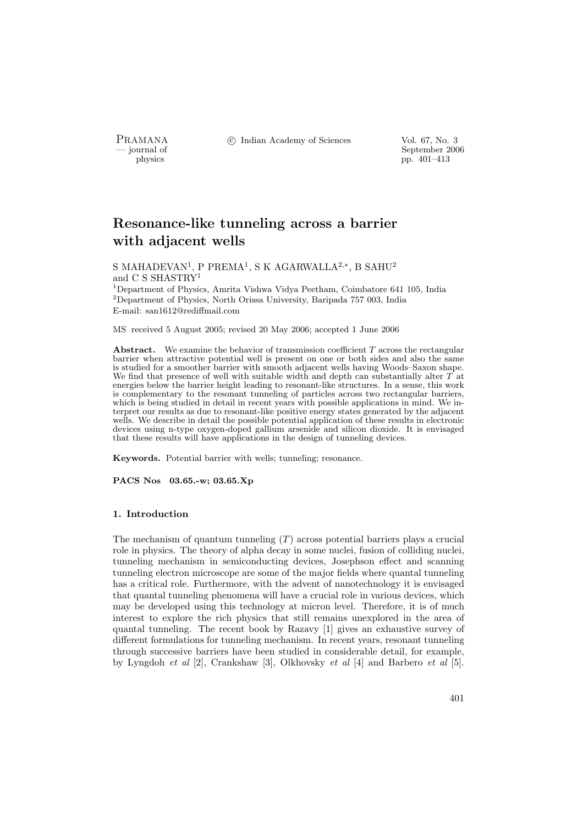PRAMANA °c Indian Academy of Sciences Vol. 67, No. 3

position of the september 2006 physics of the september 2006 physics of the september 2006 physics pp. 401–413

# Resonance-like tunneling across a barrier with adjacent wells

S MAHADEVAN<sup>1</sup>, P PREMA<sup>1</sup>, S K AGARWALLA<sup>2,∗</sup>, B SAHU<sup>2</sup> and C S SHASTRY<sup>1</sup>

<sup>1</sup>Department of Physics, Amrita Vishwa Vidya Peetham, Coimbatore 641 105, India <sup>2</sup>Department of Physics, North Orissa University, Baripada 757 003, India E-mail: san1612@rediffmail.com

MS received 5 August 2005; revised 20 May 2006; accepted 1 June 2006

Abstract. We examine the behavior of transmission coefficient  $T$  across the rectangular barrier when attractive potential well is present on one or both sides and also the same is studied for a smoother barrier with smooth adjacent wells having Woods–Saxon shape. We find that presence of well with suitable width and depth can substantially alter  $\hat{T}$  at energies below the barrier height leading to resonant-like structures. In a sense, this work is complementary to the resonant tunneling of particles across two rectangular barriers, which is being studied in detail in recent years with possible applications in mind. We interpret our results as due to resonant-like positive energy states generated by the adjacent wells. We describe in detail the possible potential application of these results in electronic devices using n-type oxygen-doped gallium arsenide and silicon dioxide. It is envisaged that these results will have applications in the design of tunneling devices.

Keywords. Potential barrier with wells; tunneling; resonance.

PACS Nos 03.65.-w; 03.65.Xp

## 1. Introduction

The mechanism of quantum tunneling  $(T)$  across potential barriers plays a crucial role in physics. The theory of alpha decay in some nuclei, fusion of colliding nuclei, tunneling mechanism in semiconducting devices, Josephson effect and scanning tunneling electron microscope are some of the major fields where quantal tunneling has a critical role. Furthermore, with the advent of nanotechnology it is envisaged that quantal tunneling phenomena will have a crucial role in various devices, which may be developed using this technology at micron level. Therefore, it is of much interest to explore the rich physics that still remains unexplored in the area of quantal tunneling. The recent book by Razavy [1] gives an exhaustive survey of different formulations for tunneling mechanism. In recent years, resonant tunneling through successive barriers have been studied in considerable detail, for example, by Lyngdoh et al [2], Crankshaw [3], Olkhovsky et al [4] and Barbero et al [5].

401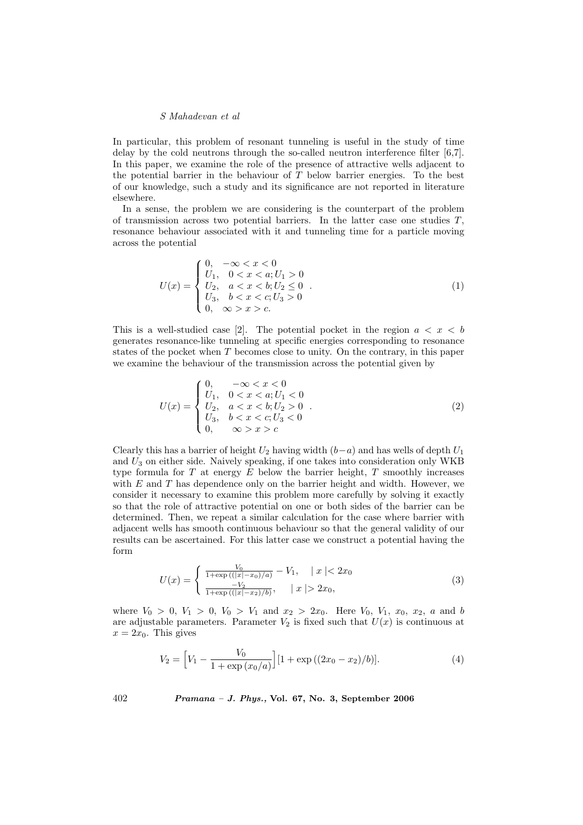In particular, this problem of resonant tunneling is useful in the study of time delay by the cold neutrons through the so-called neutron interference filter [6,7]. In this paper, we examine the role of the presence of attractive wells adjacent to the potential barrier in the behaviour of  $T$  below barrier energies. To the best of our knowledge, such a study and its significance are not reported in literature elsewhere.

In a sense, the problem we are considering is the counterpart of the problem of transmission across two potential barriers. In the latter case one studies  $T$ , resonance behaviour associated with it and tunneling time for a particle moving across the potential

$$
U(x) = \begin{cases} 0, & -\infty < x < 0 \\ U_1, & 0 < x < a; U_1 > 0 \\ U_2, & a < x < b; U_2 \le 0 \\ U_3, & b < x < c; U_3 > 0 \\ 0, & \infty > x > c. \end{cases}
$$
(1)

This is a well-studied case [2]. The potential pocket in the region  $a < x < b$ generates resonance-like tunneling at specific energies corresponding to resonance states of the pocket when T becomes close to unity. On the contrary, in this paper we examine the behaviour of the transmission across the potential given by

$$
U(x) = \begin{cases} 0, & -\infty < x < 0 \\ U_1, & 0 < x < a; U_1 < 0 \\ U_2, & a < x < b; U_2 > 0 \\ U_3, & b < x < c; U_3 < 0 \\ 0, & \infty > x > c \end{cases}
$$
 (2)

Clearly this has a barrier of height  $U_2$  having width  $(b-a)$  and has wells of depth  $U_1$ and  $U_3$  on either side. Naively speaking, if one takes into consideration only WKB type formula for  $T$  at energy  $E$  below the barrier height,  $T$  smoothly increases with  $E$  and  $T$  has dependence only on the barrier height and width. However, we consider it necessary to examine this problem more carefully by solving it exactly so that the role of attractive potential on one or both sides of the barrier can be determined. Then, we repeat a similar calculation for the case where barrier with adjacent wells has smooth continuous behaviour so that the general validity of our results can be ascertained. For this latter case we construct a potential having the form

$$
U(x) = \begin{cases} \frac{V_0}{1 + \exp\left(\left(|x| - x_0\right)/a\right)} - V_1, & |x| < 2x_0\\ \frac{-V_2}{1 + \exp\left(\left(|x| - x_2\right)/b\right)}, & |x| > 2x_0, \end{cases} \tag{3}
$$

where  $V_0 > 0$ ,  $V_1 > 0$ ,  $V_0 > V_1$  and  $x_2 > 2x_0$ . Here  $V_0$ ,  $V_1$ ,  $x_0$ ,  $x_2$ , a and b are adjustable parameters. Parameter  $V_2$  is fixed such that  $U(x)$  is continuous at  $x = 2x_0$ . This gives

$$
V_2 = \left[V_1 - \frac{V_0}{1 + \exp(x_0/a)}\right] [1 + \exp((2x_0 - x_2)/b)].\tag{4}
$$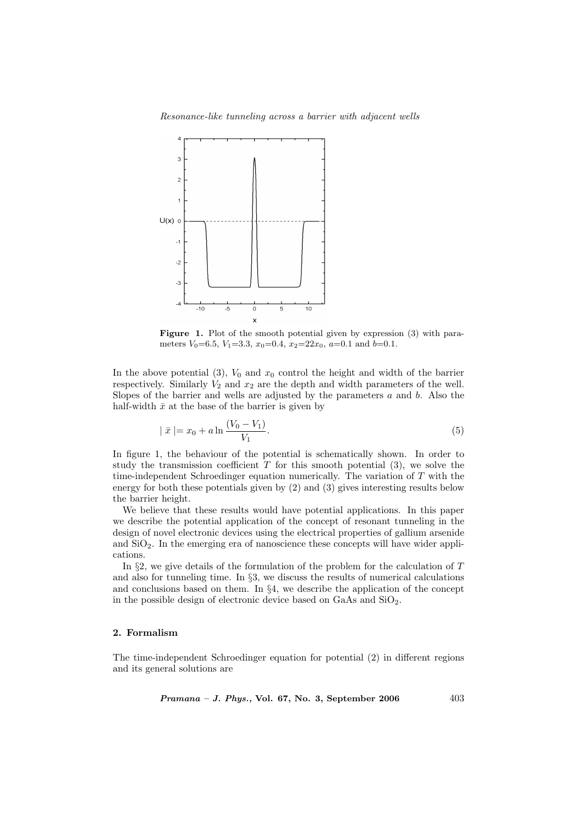Resonance-like tunneling across a barrier with adjacent wells



Figure 1. Plot of the smooth potential given by expression (3) with parameters  $V_0=6.5$ ,  $V_1=3.3$ ,  $x_0=0.4$ ,  $x_2=22x_0$ ,  $a=0.1$  and  $b=0.1$ .

In the above potential (3),  $V_0$  and  $x_0$  control the height and width of the barrier respectively. Similarly  $V_2$  and  $x_2$  are the depth and width parameters of the well. Slopes of the barrier and wells are adjusted by the parameters  $a$  and  $b$ . Also the half-width  $\bar{x}$  at the base of the barrier is given by

$$
| \bar{x} | = x_0 + a \ln \frac{(V_0 - V_1)}{V_1}.
$$
 (5)

In figure 1, the behaviour of the potential is schematically shown. In order to study the transmission coefficient  $T$  for this smooth potential  $(3)$ , we solve the time-independent Schroedinger equation numerically. The variation of  $T$  with the energy for both these potentials given by (2) and (3) gives interesting results below the barrier height.

We believe that these results would have potential applications. In this paper we describe the potential application of the concept of resonant tunneling in the design of novel electronic devices using the electrical properties of gallium arsenide and  $SiO<sub>2</sub>$ . In the emerging era of nanoscience these concepts will have wider applications.

In  $\S$ 2, we give details of the formulation of the problem for the calculation of  $T$ and also for tunneling time. In §3, we discuss the results of numerical calculations and conclusions based on them. In §4, we describe the application of the concept in the possible design of electronic device based on GaAs and  $SiO<sub>2</sub>$ .

# 2. Formalism

The time-independent Schroedinger equation for potential (2) in different regions and its general solutions are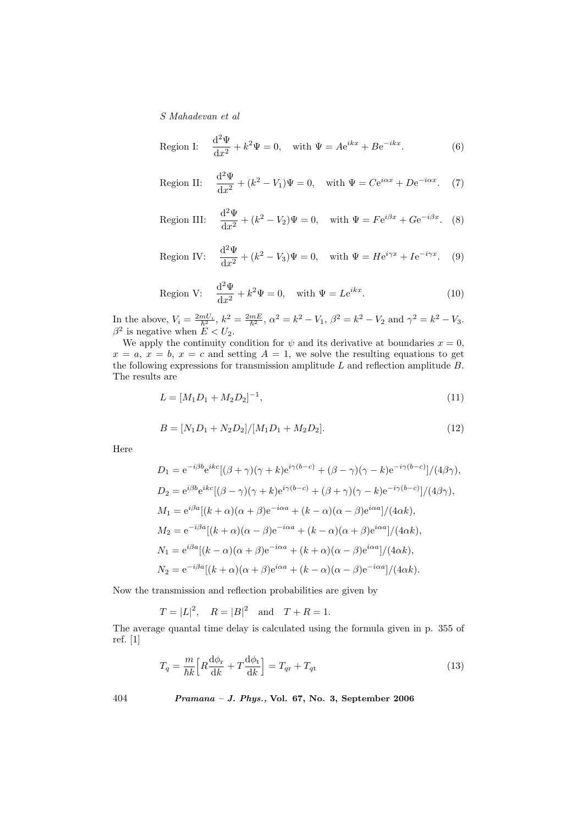Region I: 
$$
\frac{d^2\Psi}{dx^2} + k^2\Psi = 0, \text{ with } \Psi = Ae^{ikx} + Be^{-ikx}.
$$
 (6)

Region II: 
$$
\frac{d^2\Psi}{dx^2} + (k^2 - V_1)\Psi = 0, \text{ with } \Psi = Ce^{i\alpha x} + De^{-i\alpha x}. \quad (7)
$$

Region III: 
$$
\frac{d^2\Psi}{dx^2} + (k^2 - V_2)\Psi = 0, \text{ with } \Psi = Fe^{i\beta x} + Ge^{-i\beta x}. \quad (8)
$$

Region IV: 
$$
\frac{d^2\Psi}{dx^2} + (k^2 - V_3)\Psi = 0, \text{ with } \Psi = He^{i\gamma x} + Ie^{-i\gamma x}. \quad (9)
$$

Region V: 
$$
\frac{d^2\Psi}{dx^2} + k^2\Psi = 0, \text{ with } \Psi = Le^{ikx}.
$$
 (10)

In the above,  $V_i = \frac{2mU_i}{\hbar^2}$ ,  $k^2 = \frac{2mE}{\hbar^2}$ ,  $\alpha^2 = k^2 - V_1$ ,  $\beta^2 = k^2 - V_2$  and  $\gamma^2 = k^2 - V_3$ .  $\beta^2$  is negative when  $E < U_2$ .

We apply the continuity condition for  $\psi$  and its derivative at boundaries  $x = 0$ ,  $x = a, x = b, x = c$  and setting  $A = 1$ , we solve the resulting equations to get the following expressions for transmission amplitude  $L$  and reflection amplitude  $B$ . The results are

$$
L = [M_1 D_1 + M_2 D_2]^{-1},\tag{11}
$$

$$
B = [N_1 D_1 + N_2 D_2]/[M_1 D_1 + M_2 D_2].
$$
\n(12)

Here

$$
D_1 = e^{-i\beta b} e^{ikc} [(\beta + \gamma)(\gamma + k) e^{i\gamma(b-c)} + (\beta - \gamma)(\gamma - k) e^{-i\gamma(b-c)}]/(4\beta\gamma),
$$
  
\n
$$
D_2 = e^{i\beta b} e^{ikc} [(\beta - \gamma)(\gamma + k) e^{i\gamma(b-c)} + (\beta + \gamma)(\gamma - k) e^{-i\gamma(b-c)}]/(4\beta\gamma),
$$
  
\n
$$
M_1 = e^{i\beta a} [(k + \alpha)(\alpha + \beta) e^{-i\alpha a} + (k - \alpha)(\alpha - \beta) e^{i\alpha a}]/(4\alpha k),
$$
  
\n
$$
M_2 = e^{-i\beta a} [(k + \alpha)(\alpha - \beta) e^{-i\alpha a} + (k - \alpha)(\alpha + \beta) e^{i\alpha a}]/(4\alpha k),
$$
  
\n
$$
N_1 = e^{i\beta a} [(k - \alpha)(\alpha + \beta) e^{-i\alpha a} + (k + \alpha)(\alpha - \beta) e^{i\alpha a}]/(4\alpha k),
$$
  
\n
$$
N_2 = e^{-i\beta a} [(k + \alpha)(\alpha + \beta) e^{i\alpha a} + (k - \alpha)(\alpha - \beta) e^{-i\alpha a}]/(4\alpha k).
$$

Now the transmission and reflection probabilities are given by

$$
T = |L|^2
$$
,  $R = |B|^2$  and  $T + R = 1$ .

The average quantal time delay is calculated using the formula given in p. 355 of ref. [1]

$$
T_q = \frac{m}{\hbar k} \Big[ R \frac{\mathrm{d}\phi_r}{\mathrm{d}k} + T \frac{\mathrm{d}\phi_t}{\mathrm{d}k} \Big] = T_{qr} + T_{qt} \tag{13}
$$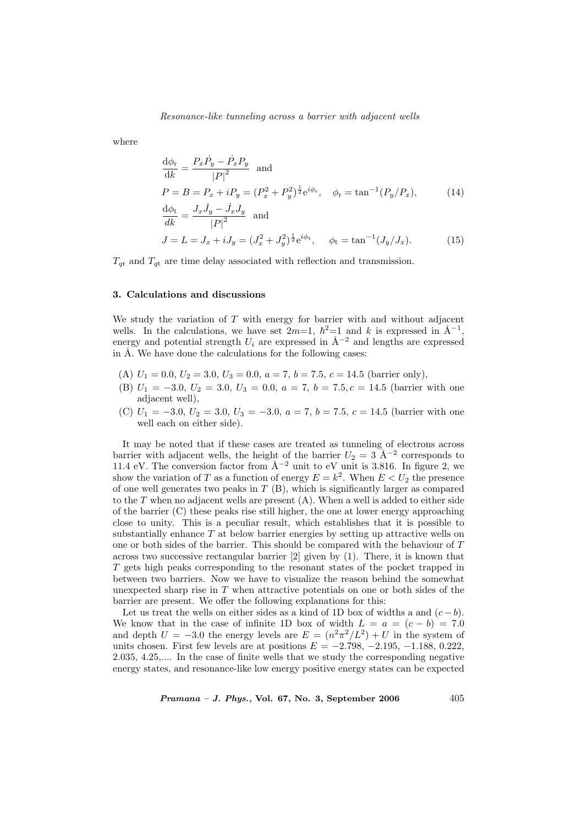where

$$
\frac{d\phi_r}{dk} = \frac{P_x \dot{P}_y - \dot{P}_x P_y}{|P|^2} \text{ and}
$$
\n
$$
P = B = P_x + i P_y = (P_x^2 + P_y^2)^{\frac{1}{2}} e^{i\phi_r}, \quad \phi_r = \tan^{-1}(P_y/P_x), \qquad (14)
$$
\n
$$
\frac{d\phi_t}{dk} = \frac{J_x \dot{J}_y - \dot{J}_x J_y}{|P|^2} \text{ and}
$$
\n
$$
J = L = J_x + i J_y = (J_x^2 + J_y^2)^{\frac{1}{2}} e^{i\phi_t}, \quad \phi_t = \tan^{-1}(J_y/J_x). \qquad (15)
$$

 $T_{qr}$  and  $T_{qt}$  are time delay associated with reflection and transmission.

# 3. Calculations and discussions

We study the variation of  $T$  with energy for barrier with and without adjacent wells. In the calculations, we have set  $2m=1$ ,  $\hbar^2=1$  and k is expressed in  $\mathring{A}^{-1}$ , energy and potential strength  $U_i$  are expressed in  $\mathring{A}^{-2}$  and lengths are expressed in  $A$ . We have done the calculations for the following cases:

- (A)  $U_1 = 0.0, U_2 = 3.0, U_3 = 0.0, a = 7, b = 7.5, c = 14.5$  (barrier only),
- (B)  $U_1 = -3.0, U_2 = 3.0, U_3 = 0.0, a = 7, b = 7.5, c = 14.5$  (barrier with one adjacent well),
- (C)  $U_1 = -3.0, U_2 = 3.0, U_3 = -3.0, a = 7, b = 7.5, c = 14.5$  (barrier with one well each on either side).

It may be noted that if these cases are treated as tunneling of electrons across barrier with adjacent wells, the height of the barrier  $U_2 = 3 \text{ Å}^{-2}$  corresponds to 11.4 eV. The conversion factor from  $\AA^{-2}$  unit to eV unit is 3.816. In figure 2, we show the variation of T as a function of energy  $E = k^2$ . When  $E < U_2$  the presence of one well generates two peaks in  $T(B)$ , which is significantly larger as compared to the T when no adjacent wells are present (A). When a well is added to either side of the barrier (C) these peaks rise still higher, the one at lower energy approaching close to unity. This is a peculiar result, which establishes that it is possible to substantially enhance T at below barrier energies by setting up attractive wells on one or both sides of the barrier. This should be compared with the behaviour of T across two successive rectangular barrier [2] given by (1). There, it is known that T gets high peaks corresponding to the resonant states of the pocket trapped in between two barriers. Now we have to visualize the reason behind the somewhat unexpected sharp rise in  $T$  when attractive potentials on one or both sides of the barrier are present. We offer the following explanations for this:

Let us treat the wells on either sides as a kind of 1D box of widths a and  $(c - b)$ . We know that in the case of infinite 1D box of width  $L = a = (c - b) = 7.0$ and depth  $U = -3.0$  the energy levels are  $E = (n^2 \pi^2 / L^2) + U$  in the system of units chosen. First few levels are at positions  $E = -2.798, -2.195, -1.188, 0.222$ , 2.035, 4.25,.... In the case of finite wells that we study the corresponding negative energy states, and resonance-like low energy positive energy states can be expected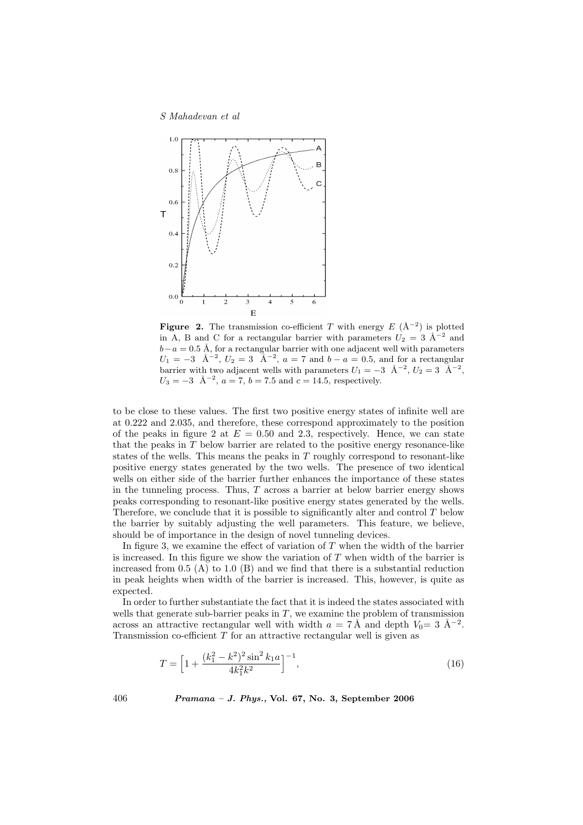

**Figure 2.** The transmission co-efficient T with energy  $E(\hat{A}^{-2})$  is plotted in A, B and C for a rectangular barrier with parameters  $U_2 = 3$   $\AA^{-2}$  and  $b-a = 0.5$  Å, for a rectangular barrier with one adjacent well with parameters  $U_1 = -3 \text{ \AA}^{-2}, U_2 = 3 \text{ \AA}^{-2}, a = 7 \text{ and } b - a = 0.5, \text{ and for a rectangular}$ barrier with two adjacent wells with parameters  $U_1 = -3 \text{ Å}^{-2}$ ,  $U_2 = 3 \text{ Å}^{-2}$ ,  $U_3 = -3 \text{ Å}^{-2}$ ,  $a = 7$ ,  $b = 7.5$  and  $c = 14.5$ , respectively.

to be close to these values. The first two positive energy states of infinite well are at 0.222 and 2.035, and therefore, these correspond approximately to the position of the peaks in figure 2 at  $E = 0.50$  and 2.3, respectively. Hence, we can state that the peaks in T below barrier are related to the positive energy resonance-like states of the wells. This means the peaks in T roughly correspond to resonant-like positive energy states generated by the two wells. The presence of two identical wells on either side of the barrier further enhances the importance of these states in the tunneling process. Thus,  $T$  across a barrier at below barrier energy shows peaks corresponding to resonant-like positive energy states generated by the wells. Therefore, we conclude that it is possible to significantly alter and control  $T$  below the barrier by suitably adjusting the well parameters. This feature, we believe, should be of importance in the design of novel tunneling devices.

In figure 3, we examine the effect of variation of  $T$  when the width of the barrier is increased. In this figure we show the variation of  $T$  when width of the barrier is increased from  $0.5$  (A) to  $1.0$  (B) and we find that there is a substantial reduction in peak heights when width of the barrier is increased. This, however, is quite as expected.

In order to further substantiate the fact that it is indeed the states associated with wells that generate sub-barrier peaks in  $T$ , we examine the problem of transmission across an attractive rectangular well with width  $a = 7 \text{ Å}$  and depth  $V_0 = 3 \text{ Å}^{-2}$ . Transmission co-efficient  $T$  for an attractive rectangular well is given as

$$
T = \left[1 + \frac{(k_1^2 - k^2)^2 \sin^2 k_1 a}{4k_1^2 k^2}\right]^{-1},\tag{16}
$$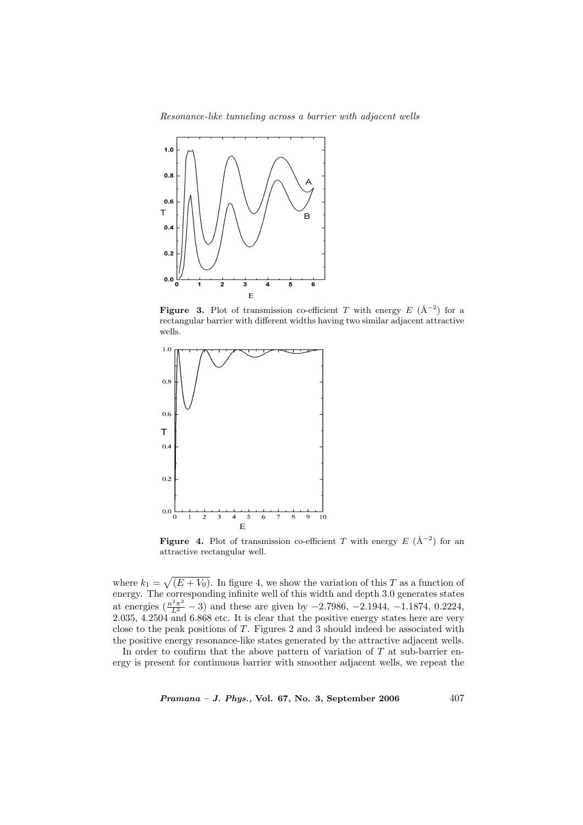Resonance-like tunneling across a barrier with adjacent wells



**Figure 3.** Plot of transmission co-efficient T with energy  $E(\hat{A}^{-2})$  for a rectangular barrier with different widths having two similar adjacent attractive wells.



**Figure 4.** Plot of transmission co-efficient T with energy  $E(\hat{A}^{-2})$  for an attractive rectangular well.

where  $k_1 =$ p  $(E + V_0)$ . In figure 4, we show the variation of this T as a function of energy. The corresponding infinite well of this width and depth 3.0 generates states at energies  $(\frac{n^2\pi^2}{L^2} - 3)$  and these are given by  $-2.7986, -2.1944, -1.1874, 0.2224,$ 2.035, 4.2504 and 6.868 etc. It is clear that the positive energy states here are very close to the peak positions of T. Figures 2 and 3 should indeed be associated with the positive energy resonance-like states generated by the attractive adjacent wells.

In order to confirm that the above pattern of variation of  $T$  at sub-barrier energy is present for continuous barrier with smoother adjacent wells, we repeat the

 $Pramana - J. Phys., Vol. 67, No. 3, September 2006  $407$$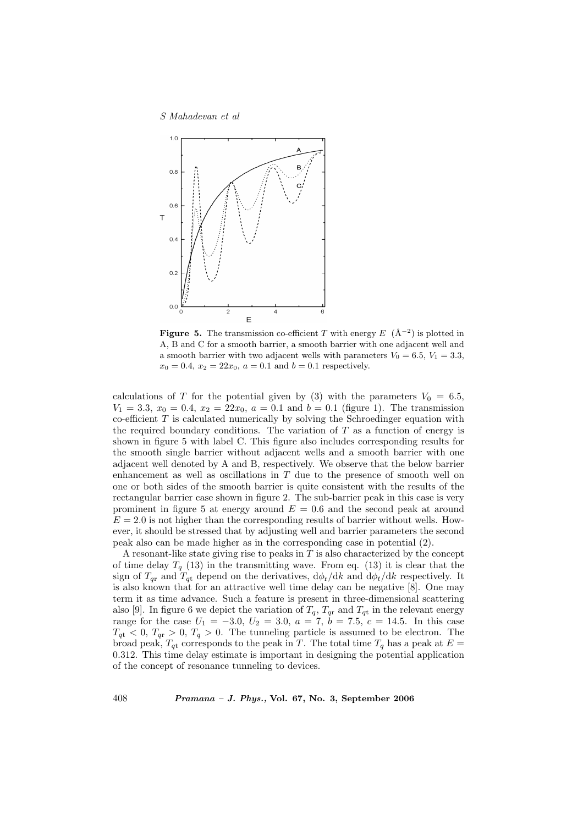

**Figure 5.** The transmission co-efficient T with energy  $E(\hat{A}^{-2})$  is plotted in A, B and C for a smooth barrier, a smooth barrier with one adjacent well and a smooth barrier with two adjacent wells with parameters  $V_0 = 6.5, V_1 = 3.3$ ,  $x_0 = 0.4$ ,  $x_2 = 22x_0$ ,  $a = 0.1$  and  $b = 0.1$  respectively.

calculations of T for the potential given by (3) with the parameters  $V_0 = 6.5$ ,  $V_1 = 3.3, x_0 = 0.4, x_2 = 22x_0, a = 0.1$  and  $b = 0.1$  (figure 1). The transmission co-efficient  $T$  is calculated numerically by solving the Schroedinger equation with the required boundary conditions. The variation of  $T$  as a function of energy is shown in figure 5 with label C. This figure also includes corresponding results for the smooth single barrier without adjacent wells and a smooth barrier with one adjacent well denoted by A and B, respectively. We observe that the below barrier enhancement as well as oscillations in T due to the presence of smooth well on one or both sides of the smooth barrier is quite consistent with the results of the rectangular barrier case shown in figure 2. The sub-barrier peak in this case is very prominent in figure 5 at energy around  $E = 0.6$  and the second peak at around  $E = 2.0$  is not higher than the corresponding results of barrier without wells. However, it should be stressed that by adjusting well and barrier parameters the second peak also can be made higher as in the corresponding case in potential (2).

A resonant-like state giving rise to peaks in  $T$  is also characterized by the concept of time delay  $T_q$  (13) in the transmitting wave. From eq. (13) it is clear that the sign of  $T_{qr}$  and  $T_{qt}$  depend on the derivatives,  $d\phi_r/dk$  and  $d\phi_t/dk$  respectively. It is also known that for an attractive well time delay can be negative [8]. One may term it as time advance. Such a feature is present in three-dimensional scattering also [9]. In figure 6 we depict the variation of  $T_q$ ,  $T_{qr}$  and  $T_{qt}$  in the relevant energy range for the case  $U_1 = -3.0, U_2 = 3.0, a = 7, b = 7.5, c = 14.5$ . In this case  $T_{qt}$  < 0,  $T_{qr}$  > 0,  $T_q$  > 0. The tunneling particle is assumed to be electron. The broad peak,  $T_{qt}$  corresponds to the peak in T. The total time  $T_q$  has a peak at  $E =$ 0.312. This time delay estimate is important in designing the potential application of the concept of resonance tunneling to devices.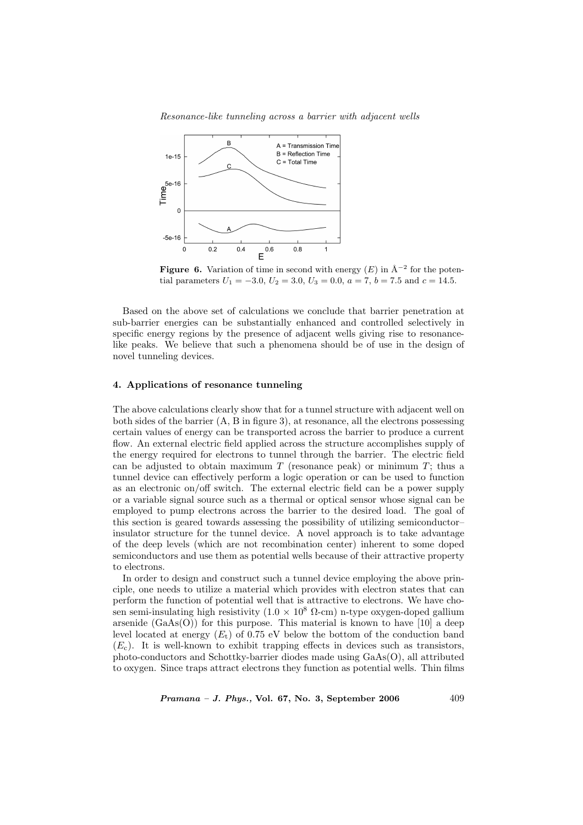Resonance-like tunneling across a barrier with adjacent wells



**Figure 6.** Variation of time in second with energy  $(E)$  in  $\AA^{-2}$  for the potential parameters  $U_1 = -3.0, U_2 = 3.0, U_3 = 0.0, a = 7, b = 7.5$  and  $c = 14.5$ .

Based on the above set of calculations we conclude that barrier penetration at sub-barrier energies can be substantially enhanced and controlled selectively in specific energy regions by the presence of adjacent wells giving rise to resonancelike peaks. We believe that such a phenomena should be of use in the design of novel tunneling devices.

# 4. Applications of resonance tunneling

The above calculations clearly show that for a tunnel structure with adjacent well on both sides of the barrier (A, B in figure 3), at resonance, all the electrons possessing certain values of energy can be transported across the barrier to produce a current flow. An external electric field applied across the structure accomplishes supply of the energy required for electrons to tunnel through the barrier. The electric field can be adjusted to obtain maximum  $T$  (resonance peak) or minimum  $T$ ; thus a tunnel device can effectively perform a logic operation or can be used to function as an electronic on/off switch. The external electric field can be a power supply or a variable signal source such as a thermal or optical sensor whose signal can be employed to pump electrons across the barrier to the desired load. The goal of this section is geared towards assessing the possibility of utilizing semiconductor– insulator structure for the tunnel device. A novel approach is to take advantage of the deep levels (which are not recombination center) inherent to some doped semiconductors and use them as potential wells because of their attractive property to electrons.

In order to design and construct such a tunnel device employing the above principle, one needs to utilize a material which provides with electron states that can perform the function of potential well that is attractive to electrons. We have chosen semi-insulating high resistivity  $(1.0 \times 10^8 \Omega$ -cm) n-type oxygen-doped gallium arsenide  $(GaAs(O))$  for this purpose. This material is known to have [10] a deep level located at energy  $(E_t)$  of 0.75 eV below the bottom of the conduction band  $(E_c)$ . It is well-known to exhibit trapping effects in devices such as transistors, photo-conductors and Schottky-barrier diodes made using GaAs(O), all attributed to oxygen. Since traps attract electrons they function as potential wells. Thin films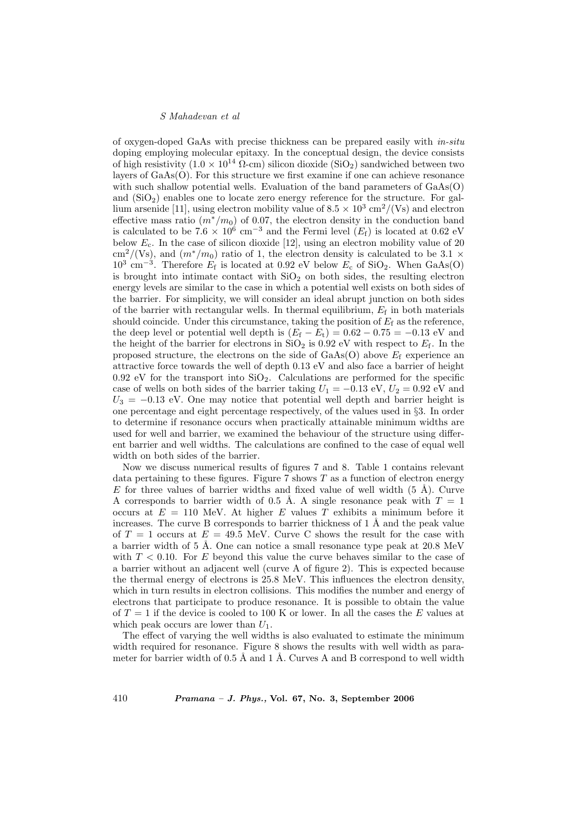of oxygen-doped GaAs with precise thickness can be prepared easily with in-situ doping employing molecular epitaxy. In the conceptual design, the device consists of high resistivity  $(1.0 \times 10^{14} \Omega \text{-cm})$  silicon dioxide (SiO<sub>2</sub>) sandwiched between two layers of GaAs(O). For this structure we first examine if one can achieve resonance with such shallow potential wells. Evaluation of the band parameters of  $GaAs(O)$ and  $(SiO<sub>2</sub>)$  enables one to locate zero energy reference for the structure. For gallium arsenide [11], using electron mobility value of  $8.5 \times 10^3$  cm<sup>2</sup>/(Vs) and electron effective mass ratio  $(m^*/m_0)$  of 0.07, the electron density in the conduction band is calculated to be 7.6  $\times$  10<sup>6</sup> cm<sup>-3</sup> and the Fermi level ( $E_{\rm f}$ ) is located at 0.62 eV below  $E_c$ . In the case of silicon dioxide [12], using an electron mobility value of 20  $\text{cm}^2/(\text{Vs})$ , and  $(m^*/m_0)$  ratio of 1, the electron density is calculated to be 3.1  $\times$  $10^3$  cm<sup>-3</sup>. Therefore  $E_f$  is located at 0.92 eV below  $E_c$  of SiO<sub>2</sub>. When GaAs(O) is brought into intimate contact with  $SiO<sub>2</sub>$  on both sides, the resulting electron energy levels are similar to the case in which a potential well exists on both sides of the barrier. For simplicity, we will consider an ideal abrupt junction on both sides of the barrier with rectangular wells. In thermal equilibrium,  $E_f$  in both materials should coincide. Under this circumstance, taking the position of  $E_f$  as the reference, the deep level or potential well depth is  $(E_f - E_t) = 0.62 - 0.75 = -0.13$  eV and the height of the barrier for electrons in  $SiO<sub>2</sub>$  is 0.92 eV with respect to  $E<sub>f</sub>$ . In the proposed structure, the electrons on the side of  $GaAs(O)$  above  $E_f$  experience an attractive force towards the well of depth 0.13 eV and also face a barrier of height  $0.92$  eV for the transport into  $SiO<sub>2</sub>$ . Calculations are performed for the specific case of wells on both sides of the barrier taking  $U_1 = -0.13 \text{ eV}, U_2 = 0.92 \text{ eV}$  and  $U_3 = -0.13$  eV. One may notice that potential well depth and barrier height is one percentage and eight percentage respectively, of the values used in §3. In order to determine if resonance occurs when practically attainable minimum widths are used for well and barrier, we examined the behaviour of the structure using different barrier and well widths. The calculations are confined to the case of equal well width on both sides of the barrier.

Now we discuss numerical results of figures 7 and 8. Table 1 contains relevant data pertaining to these figures. Figure 7 shows  $T$  as a function of electron energy E for three values of barrier widths and fixed value of well width  $(5 \text{ Å})$ . Curve A corresponds to barrier width of 0.5 Å. A single resonance peak with  $T = 1$ occurs at  $E = 110$  MeV. At higher E values T exhibits a minimum before it increases. The curve B corresponds to barrier thickness of  $1 \text{ Å}$  and the peak value of  $T = 1$  occurs at  $E = 49.5$  MeV. Curve C shows the result for the case with a barrier width of 5 Å. One can notice a small resonance type peak at  $20.8 \text{ MeV}$ with  $T < 0.10$ . For E beyond this value the curve behaves similar to the case of a barrier without an adjacent well (curve A of figure 2). This is expected because the thermal energy of electrons is 25.8 MeV. This influences the electron density, which in turn results in electron collisions. This modifies the number and energy of electrons that participate to produce resonance. It is possible to obtain the value of  $T = 1$  if the device is cooled to 100 K or lower. In all the cases the E values at which peak occurs are lower than  $U_1$ .

The effect of varying the well widths is also evaluated to estimate the minimum width required for resonance. Figure 8 shows the results with well width as parameter for barrier width of  $0.5 \text{ Å}$  and  $1 \text{ Å}$ . Curves A and B correspond to well width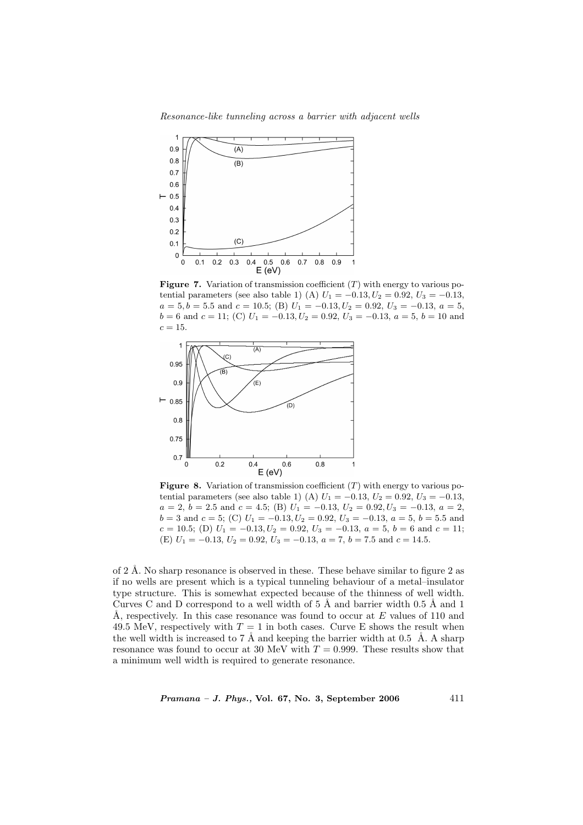Resonance-like tunneling across a barrier with adjacent wells



**Figure 7.** Variation of transmission coefficient  $(T)$  with energy to various potential parameters (see also table 1) (A)  $U_1 = -0.13, U_2 = 0.92, U_3 = -0.13,$  $a = 5, b = 5.5$  and  $c = 10.5$ ; (B)  $U_1 = -0.13, U_2 = 0.92, U_3 = -0.13, a = 5,$  $b = 6$  and  $c = 11$ ; (C)  $U_1 = -0.13, U_2 = 0.92, U_3 = -0.13, a = 5, b = 10$  and  $c = 15$ .



**Figure 8.** Variation of transmission coefficient  $(T)$  with energy to various potential parameters (see also table 1) (A)  $U_1 = -0.13, U_2 = 0.92, U_3 = -0.13,$  $a = 2, b = 2.5 \text{ and } c = 4.5;$  (B)  $U_1 = -0.13, U_2 = 0.92, U_3 = -0.13, a = 2,$  $b = 3$  and  $c = 5$ ; (C)  $U_1 = -0.13, U_2 = 0.92, U_3 = -0.13, a = 5, b = 5.5$  and  $c = 10.5$ ; (D)  $U_1 = -0.13, U_2 = 0.92, U_3 = -0.13, a = 5, b = 6$  and  $c = 11$ ; (E)  $U_1 = -0.13, U_2 = 0.92, U_3 = -0.13, a = 7, b = 7.5$  and  $c = 14.5$ .

of 2 Å. No sharp resonance is observed in these. These behave similar to figure 2 as if no wells are present which is a typical tunneling behaviour of a metal–insulator type structure. This is somewhat expected because of the thinness of well width. Curves C and D correspond to a well width of  $5 \text{ Å}$  and barrier width  $0.5 \text{ Å}$  and  $1$ Å, respectively. In this case resonance was found to occur at E values of 110 and 49.5 MeV, respectively with  $T = 1$  in both cases. Curve E shows the result when the well width is increased to 7 Å and keeping the barrier width at 0.5 Å. A sharp resonance was found to occur at 30 MeV with  $T = 0.999$ . These results show that a minimum well width is required to generate resonance.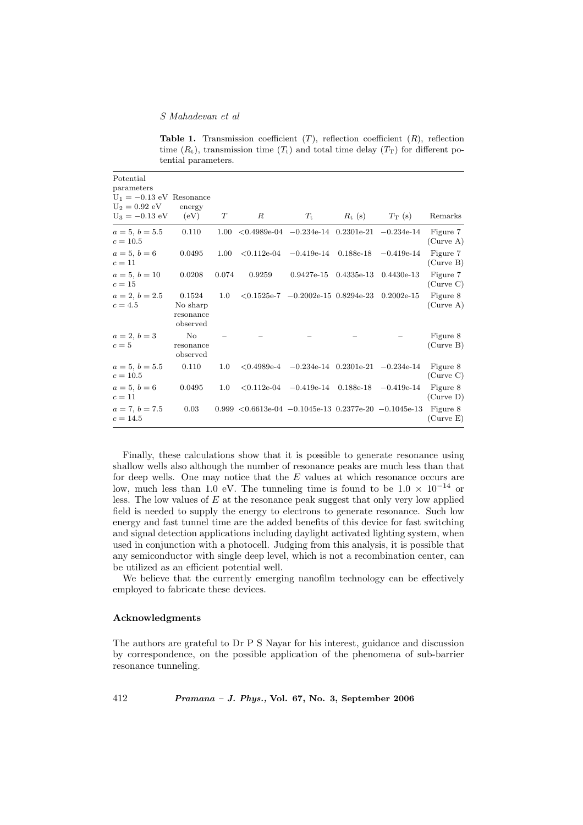Table 1. Transmission coefficient  $(T)$ , reflection coefficient  $(R)$ , reflection time  $(R_t)$ , transmission time  $(T_t)$  and total time delay  $(T_T)$  for different potential parameters.

| Potential<br>parameters<br>$U_1 = -0.13$ eV Resonance<br>$U_2 = 0.92$ eV |                                             |          |                                                                   |                                                                               |                 |                           |                       |
|--------------------------------------------------------------------------|---------------------------------------------|----------|-------------------------------------------------------------------|-------------------------------------------------------------------------------|-----------------|---------------------------|-----------------------|
| $U_3 = -0.13$ eV                                                         | energy<br>(eV)                              | Т        | $_{R}$                                                            | $T_{\rm t}$                                                                   | $R_{\rm t}$ (s) | $T_{\rm T}$ (s)           | Remarks               |
| $a=5, b=5.5$<br>$c = 10.5$                                               | 0.110                                       | $1.00\,$ |                                                                   | $\langle 0.4989e-04 \ -0.234e-14 \ 0.2301e-21 \ -0.234e-14 \ \rangle$         |                 |                           | Figure 7<br>(Curve A) |
| $a = 5, b = 6$<br>$c=11$                                                 | 0.0495                                      | 1.00     |                                                                   | $\langle 0.112e-04 \quad -0.419e-14 \quad 0.188e-18 \quad -0.419e-14 \rangle$ |                 |                           | Figure 7<br>(Curve B) |
| $a = 5, b = 10$<br>$c=15$                                                | 0.0208                                      | 0.074    | 0.9259                                                            | $0.9427e-15$                                                                  |                 | $0.4335e-13$ $0.4430e-13$ | Figure 7<br>(Curve C) |
| $a = 2, b = 2.5$<br>$c=4.5$                                              | 0.1524<br>No sharp<br>resonance<br>observed | 1.0      |                                                                   | $< 0.1525e-7$ $-0.2002e-15$ 0.8294e-23 0.2002e-15                             |                 |                           | Figure 8<br>(Curve A) |
| $a = 2, b = 3$<br>$c=5$                                                  | No<br>resonance<br>observed                 |          |                                                                   |                                                                               |                 |                           | Figure 8<br>(Curve B) |
| $a=5, b=5.5$<br>$c = 10.5$                                               | 0.110                                       | 1.0      |                                                                   | $< 0.4989e-4$ $-0.234e-14$ $0.2301e-21$ $-0.234e-14$                          |                 |                           | Figure 8<br>(Curve C) |
| $a = 5, b = 6$<br>$c=11$                                                 | 0.0495                                      | $1.0\,$  |                                                                   | $\langle 0.112e-04 \rangle$ $-0.419e-14 \rangle$ 0.188e-18 $-0.419e-14$       |                 |                           | Figure 8<br>(Curve D) |
| $a = 7, b = 7.5$<br>$c = 14.5$                                           | 0.03                                        |          | $0.999 < 0.6613$ e-04 $-0.1045$ e-13 $0.2377$ e-20 $-0.1045$ e-13 |                                                                               |                 |                           | Figure 8<br>(Curve E) |

Finally, these calculations show that it is possible to generate resonance using shallow wells also although the number of resonance peaks are much less than that for deep wells. One may notice that the  $E$  values at which resonance occurs are low, much less than 1.0 eV. The tunneling time is found to be  $1.0 \times 10^{-14}$  or less. The low values of  $E$  at the resonance peak suggest that only very low applied field is needed to supply the energy to electrons to generate resonance. Such low energy and fast tunnel time are the added benefits of this device for fast switching and signal detection applications including daylight activated lighting system, when used in conjunction with a photocell. Judging from this analysis, it is possible that any semiconductor with single deep level, which is not a recombination center, can be utilized as an efficient potential well.

We believe that the currently emerging nanofilm technology can be effectively employed to fabricate these devices.

# Acknowledgments

The authors are grateful to Dr P S Nayar for his interest, guidance and discussion by correspondence, on the possible application of the phenomena of sub-barrier resonance tunneling.